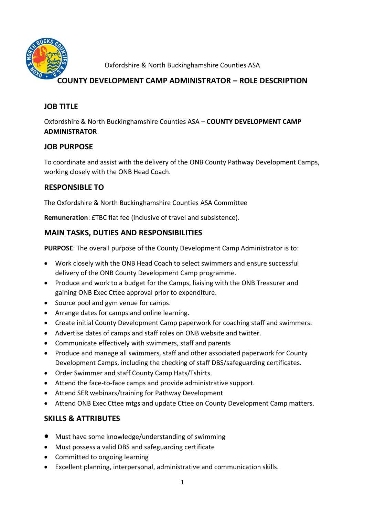

Oxfordshire & North Buckinghamshire Counties ASA

# **COUNTY DEVELOPMENT CAMP ADMINISTRATOR – ROLE DESCRIPTION**

## **JOB TITLE**

Oxfordshire & North Buckinghamshire Counties ASA – **COUNTY DEVELOPMENT CAMP ADMINISTRATOR**

## **JOB PURPOSE**

To coordinate and assist with the delivery of the ONB County Pathway Development Camps, working closely with the ONB Head Coach.

## **RESPONSIBLE TO**

The Oxfordshire & North Buckinghamshire Counties ASA Committee

**Remuneration**: £TBC flat fee (inclusive of travel and subsistence).

# **MAIN TASKS, DUTIES AND RESPONSIBILITIES**

**PURPOSE**: The overall purpose of the County Development Camp Administrator is to:

- Work closely with the ONB Head Coach to select swimmers and ensure successful delivery of the ONB County Development Camp programme.
- Produce and work to a budget for the Camps, liaising with the ONB Treasurer and gaining ONB Exec Cttee approval prior to expenditure.
- Source pool and gym venue for camps.
- Arrange dates for camps and online learning.
- Create initial County Development Camp paperwork for coaching staff and swimmers.
- Advertise dates of camps and staff roles on ONB website and twitter.
- Communicate effectively with swimmers, staff and parents
- Produce and manage all swimmers, staff and other associated paperwork for County Development Camps, including the checking of staff DBS/safeguarding certificates.
- Order Swimmer and staff County Camp Hats/Tshirts.
- Attend the face-to-face camps and provide administrative support.
- Attend SER webinars/training for Pathway Development
- Attend ONB Exec Cttee mtgs and update Cttee on County Development Camp matters.

#### **SKILLS & ATTRIBUTES**

- Must have some knowledge/understanding of swimming
- Must possess a valid DBS and safeguarding certificate
- Committed to ongoing learning
- Excellent planning, interpersonal, administrative and communication skills.